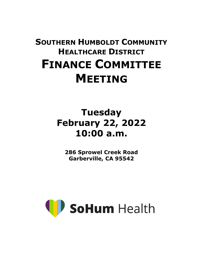# **SOUTHERN HUMBOLDT COMMUNITY HEALTHCARE DISTRICT FINANCE COMMITTEE MEETING**

# **Tuesday February 22, 2022 10:00 a.m.**

**286 Sprowel Creek Road Garberville, CA 95542**

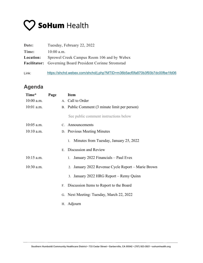

| Date:     | Tuesday, February 22, 2022                                                 |
|-----------|----------------------------------------------------------------------------|
| Time:     | $10:00$ a.m.                                                               |
| Location: | Sprowel Creek Campus Room 106 and by Webex                                 |
|           | <b>Facilitator:</b> Governing Board President Corinne Stromstad            |
| Link:     | https://shchd.webex.com/shchd/j.php?MTID=m36b5acf0fa870b3f93b7dc00fbe1fd06 |

## **Agenda**

| Time*        | Page |    | <b>Item</b>                                        |
|--------------|------|----|----------------------------------------------------|
| 10:00 a.m.   |      |    | A. Call to Order                                   |
| $10:01$ a.m. |      |    | B. Public Comment (3 minute limit per person)      |
|              |      |    | See public comment instructions below              |
| $10:05$ a.m. |      |    | C. Announcements                                   |
| $10:10$ a.m. |      |    | D. Previous Meeting Minutes                        |
|              |      |    | Minutes from Tuesday, January 25, 2022<br>1.       |
|              |      |    | E. Discussion and Review                           |
| $10:15$ a.m. |      |    | 1. January 2022 Financials - Paul Eves             |
| $10:30$ a.m. |      |    | 2. January 2022 Revenue Cycle Report – Marie Brown |
|              |      |    | 3. January 2022 HRG Report – Remy Quinn            |
|              |      | F. | Discussion Items to Report to the Board            |
|              |      |    | G. Next Meeting: Tuesday, March 22, 2022           |
|              |      |    | H. Adjourn                                         |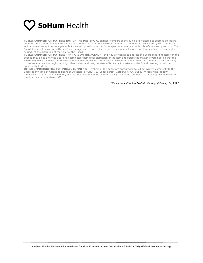

**PUBLIC COMMENT ON MATTERS NOT ON THE MEETING AGENDA:** Members of the public are welcome to address the Board on items not listed on the agenda and within the jurisdiction of the Board of Directors. The Board is prohibited by law from taking action on matters not on the agenda, but may ask questions to clarify the speaker's comment and/or briefly answer questions. The Board limits testimony on matters not on the agenda to three minutes per person and not more than ten minutes for a particular subject, at the discretion of the Chair of the Board.

**PUBLIC COMMENT ON MATTERS THAT ARE ON THE AGENDA:** Individuals wishing to address the Board regarding items on the agenda may do so after the Board has completed their initial discussion of the item and before the matter is voted on, so that the Board may have the benefit of these comments before making their decision. Please remember that it is the Board's responsibility to discuss matters thoroughly amongst themselves and that, because of Brown Act constraints, the Board meeting is their only opportunity to do so.

**OTHER OPPORTUNITIES FOR PUBLIC COMMENT:** Members of the public are encouraged to submit written comments to the Board at any time by writing to Board of Directors, SHCHD, 733 Cedar Street, Garberville, CA 95542. Writers who identify themselves may, at their discretion, ask that their comments be shared publicly. All other comments shall be kept confidential to the Board and appropriate staff.

*\*Times are estimated/Posted: Monday, February 14, 2022*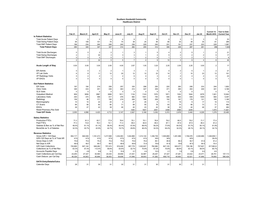#### **Southern Humboldt Community Healthcare District**

|                                 | Feb <sub>21</sub> | March 21       | April 21       | <b>May 21</b>  | June 21        | July 21        | Aug 21                  | Sept 21        | Oct 21         | <b>Nov 21</b>           | <b>Dec 21</b>  | <b>Jan 22</b>  | <b>Current 12</b><br><b>Month AVG</b> | Year to Date-<br><b>Current Year</b> |
|---------------------------------|-------------------|----------------|----------------|----------------|----------------|----------------|-------------------------|----------------|----------------|-------------------------|----------------|----------------|---------------------------------------|--------------------------------------|
| <b>In Patient Statistics</b>    |                   |                |                |                |                |                |                         |                |                |                         |                |                |                                       |                                      |
| <b>Total Acute Patient Days</b> | $\mathbf 0$       | $\mathbf 0$    | 6              | 4              | $\overline{4}$ | 8              | $\mathbf{1}$            | 16             | 9              | 5                       | 11             | $\mathbf{3}$   | 6                                     | 53                                   |
| <b>Total Swing Patient Days</b> | 94                | 106            | 101            | 75             | 70             | 38             | 25                      | 56             | 66             | 30                      | 39             | 35             | 61                                    | 289                                  |
| <b>Total SNF Patient Days</b>   | 196               | 234            | 240            | 248            | 240            | 236            | 229                     | 240            | 231            | 191                     | 237            | 223            | 229                                   | 1,587                                |
| <b>Total Patient Days</b>       | 290               | 340            | 347            | 327            | 314            | 282            | 255                     | 312            | 306            | 226                     | 287            | 261            | 296                                   | 1.929                                |
| <b>Total Acute Discharges</b>   | $\mathbf 0$       | $\mathsf 0$    | $\overline{2}$ | $\overline{2}$ | $\overline{1}$ | 3              | $\mathbf{1}$            | 5              | 4              | $\overline{\mathbf{c}}$ | 5              | $\mathbf{1}$   | $\overline{2}$                        | 21                                   |
| <b>Total Swing Discharges</b>   | $\overline{2}$    | $\mathbf{1}$   | 30             | 3              | 3              | $\overline{3}$ | $\mathbf{1}$            | $\overline{4}$ | 5              | $\overline{0}$          | $\overline{2}$ | $\overline{2}$ | 5                                     | 17                                   |
| <b>Total SNF Discharges</b>     | $\mathbf 0$       | $\mathsf 0$    | $\Omega$       | $\mathbf 0$    | $\mathbf{1}$   | $\overline{1}$ | $\overline{2}$          | $\mathbf 0$    | 1              | $\overline{1}$          | $\overline{2}$ | $\mathbf{1}$   | $\overline{1}$                        | 8                                    |
|                                 | $\overline{2}$    | $\mathbf{1}$   | 32             | 5              | 5              | $\overline{7}$ | $\overline{\mathbf{4}}$ | 9              | 10             | 3                       | 9              | $\overline{4}$ | 8                                     | 46                                   |
| <b>Acute Length of Stay</b>     | 0.00              | 0.00           | 3.00           | 2.00           | 4.00           | 2.67           | 1.00                    | 3.20           | 2.25           | 2.50                    | 2.20           | 3.00           | $\overline{2}$                        | 17                                   |
| <b>ER Admits</b>                | $\mathbf 0$       | $\mathsf 0$    | $\overline{2}$ | $\overline{2}$ | $\overline{1}$ | $\mathbf{3}$   | $\mathbf{1}$            | 5              | 4              | $\overline{2}$          | 5              | $\mathbf{1}$   | $\overline{2}$                        | 21                                   |
| I/P Lab Visits                  | $\epsilon$        | 8              | 11             | 12             | 20             | 12             | 12                      | 23             | 14             | $\overline{7}$          | 10             | 23             | 13                                    | 101                                  |
| I/P Radiology Visits            | 5                 | $\overline{2}$ | $\overline{2}$ | $\overline{1}$ | $\overline{2}$ | 6              | $\overline{\mathbf{4}}$ | 3              | $\overline{2}$ | $\overline{2}$          | $\overline{4}$ | $\overline{2}$ | $\overline{3}$                        | 23                                   |
| I/P EKG's                       | $\sqrt{ }$        | $\mathbf 0$    | $\Omega$       | $\Omega$       | $\Omega$       | $\mathbf 0$    | $\pmb{0}$               | $\Omega$       | $\Omega$       | $\Omega$                | $\overline{1}$ | $\mathbf{0}$   | $\Omega$                              | $\overline{1}$                       |
| <b>Out Patient Statistics</b>   |                   |                |                |                |                |                |                         |                |                |                         |                |                |                                       |                                      |
| <b>ER Visits</b>                | 197               | 194            | 219            | 258            | 257            | 335            | 298                     | 250            | 220            | 260                     | 206            | 233            | 244                                   | 1,802                                |
| <b>Clinic Visits</b>            | 346               | 433            | 451            | 436            | 463            | 414            | 427                     | 459            | 471            | 495                     | 453            | 449            | 441                                   | 3,168                                |
| <b>SLS Visits</b>               | $\Omega$          | $\mathsf 0$    | $\Omega$       | $\Omega$       | $\Omega$       | $\Omega$       | $\mathbf 0$             | $\Omega$       | $\Omega$       | $\Omega$                | $\pmb{0}$      |                | $\mathbf 0$                           | $\Omega$                             |
| <b>Outpatient Medical</b>       | 809               | 3656           | 2967           | 3068           | 1611           | 1134           | 1143                    | 1570           | 1871           | 1302                    | 1644           | 2278           | 1,921                                 | 10,942                               |
| <b>Laboratory Visits</b>        | 440               | 474            | 468            | 617            | 476            | 682            | 1041                    | 740            | 546            | 640                     | 839            | 1009           | 664                                   | 5,497                                |
| Radiology                       | 159               | 46             | 171            | 190            | 219            | 206            | 156                     | 209            | 152            | 167                     | 179            | 121            | 165                                   | 1,190                                |
| Mammography                     | 10                | 10             | 22             | 24             | $\overline{4}$ | 27             | 25                      | 6              | 11             | 19                      | 9              | 17             | 15                                    | 114                                  |
| CT Scans                        | 66                | 56             | 82             | 80             | 71             | 89             | 55                      | 76             | 63             | 70                      | 66             | 73             | 71                                    | 492                                  |
| <b>EKG's</b>                    | 28                | 27             | 43             | 39             | 46             | 40             | 23                      | 42             | 38             | 25                      | 44             | 48             | 37                                    | 260                                  |
| Retail Pharmacy Rxs Sold        |                   |                |                |                |                | 1040           | 1607                    | 2001           | 2358           | 2566                    | 2249           |                | 1.970                                 | 11,821                               |
| <b>Total O/P Visits</b>         | 2,055             | 4,896          | 4,423          | 4,712          | 3,147          | 2,927          | 3,168                   | 3,352          | 3,372          | 2,978                   | 3.440          | 4,228          | 1,279                                 | 23,465                               |
| <b>Salary Statistics</b>        |                   |                |                |                |                |                |                         |                |                |                         |                |                |                                       |                                      |
| Productive FTE's                | 71.3              | 81.3           | 83.7           | 77.9           | 76.6           | 75.1           | 75.1                    | 76.8           | 79.2           | 80.5                    | 79.2           | 71.7           | 77.4                                  |                                      |
| Paid FTE's                      | 77.3              | 73.8           | 76.3           | 72.1           | 71.4           | 85.0           | 84.9                    | 85.0           | 87.1           | 87.8                    | 87.9           | 85.4           | 81.2                                  |                                      |
| Salaries & Ben as % of Net Rev  | 48.4%             | 91.1%          | 61.1%          | 56.4%          | 60.4%          | 47.9%          | 68.4%                   | 59.2%          | 77.6%          | 64.5%                   | 57.7%          | 50.1%          | 61.9%                                 |                                      |
| BeneGits as % of Salaries       | 32.3%             | 30.7%          | 22.9%          | 42.7%          | 19.7%          | 29.8%          | 46.4%                   | 32.0%          | 64.4%          | 32.2%                   | 28.1%          | 28.1%          | 34.1%                                 |                                      |
| <b>Revenue Statistics</b>       |                   |                |                |                |                |                |                         |                |                |                         |                |                |                                       |                                      |
| Gross A/R > 120 Days            | 952,117           | 940.549        | 1,161,213      | 1,217,068      | 1,234,083      | 1,022,868      | 1,313,144               | 1,336,739      | 1,505,869      | 1,451,996               | 1,746,576      | 2,040,686      | 1,326,909.1                           |                                      |
| A/R>120 Days as % of Total AR   | 41%               | 41%            | 41%            | 41%            | 41%            | 41%            | 41%                     | 34%            | 34%            |                         | 42%            |                | 39.4%                                 |                                      |
| Gross Days in A/R               | 75.6              | 75.2           | 75.2           | 75.2           | 75.2           | 75.6           | 79.2                    | 85.1           | 85.9           | 86.3                    | 94.7           | 91.6           | 81.2                                  |                                      |
| Net Days in A/R                 | 68.9              | 69.7           | 69.7           | 69.7           | 69.9           | 69.8           | 73.4                    | 79.8           | 81.6           | 79.8                    | 87.5           | 84.4           | 75.4                                  |                                      |
| A/R Cash Collections            | 720,895           | 847,144        | 948,282        | 757,474        | 919,408        | 667,778        | 1,022,607               | 782,980        | 847,125        | 845,077                 | 729,186        | 727,607        | 817,963.6                             |                                      |
| Collections as % of Net Rev     | 63.3%             | 57.3%          | 112.4%         | 59.8%          | 63.6%          | 32.7%          | 70.8%                   | 67.2%          | 70.8%          | 68.8%                   | 63.1%          | 58.0%          | 65.7%                                 |                                      |
| Accounts Payable Days           | 0.5               | 4.8            | 6.8            | 5.1            | 15.9           | 0.7            | 4.4                     | 10.0           | 2.1            | 1.9                     | 0.8            | 6.0            | 4.8                                   |                                      |
| Cash Collections per Cal Day    | 23,255            | 27,327         | 30,590         | 24,435         | 29,658         | 21,541         | 32,987                  | 25,257         | 27,327         | 27,261                  | 23,522         | 23,471         | 26,751                                | 107,113                              |
| Cash Disburs. per Cal Day       | 46,329            | 44,803         | 45,848         | 38,553         | 39,838         | 41,846         | 38,603                  | 41,262         | 458,718        | 40,600                  | 42,521         | 41,846         | 76,600                                | 580,429                              |
| <b>DATA Entry/Details/Calcs</b> |                   |                |                |                |                |                |                         |                |                |                         |                |                |                                       |                                      |
| Calendar Days                   | 28                | 31             | 30             | 31             | 30             | 31             | 31                      | 30             | 31             | 30                      | 31             | 31             |                                       |                                      |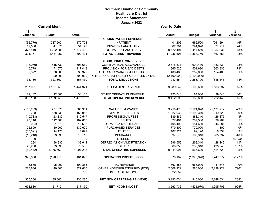### **Southern Humboldt Community Healthcare District Income Statement January 2022**

|              | <b>Current Month</b> |               |                                     | <b>Year to Date</b> |               |               |          |
|--------------|----------------------|---------------|-------------------------------------|---------------------|---------------|---------------|----------|
| \$           |                      |               |                                     |                     |               | \$            | $\%$     |
| Variance     | <b>Budget</b>        | <b>Actual</b> |                                     | <b>Actual</b>       | <b>Budget</b> | Variance      | Variance |
|              |                      |               | <b>GROSS PATIENT REVENUE</b>        |                     |               |               |          |
| (66, 776)    | 237,500              | 170,724       | <b>INPATIENT</b>                    | 1,401,206           | 1,662,500     | (261, 294)    | $-16%$   |
| 12,508       | 41,670               | 54,178        | <b>INPATIENT ANCILLARY</b>          | 362,904             | 291,690       | 71,214        | 24%      |
| 375,419      | 1,202,080            | 1,577,499     | <b>OUTPATIENT ANCILLARY</b>         | 9,472,491           | 8,414,560     | 1,057,931     | 13%      |
| 321,151      | 1,481,250            | 1,802,401     | <b>TOTAL PATIENT REVENUE</b>        | 11,236,601          | 10,368,750    | 867,851       | 8%       |
|              |                      |               | <b>DEDUCTIONS FROM REVENUE</b>      |                     |               |               |          |
| (13,970)     | 515,630              | 501,660       | CONTRACTUAL ALLOWANCES              | 2,775,571           | 3,609,410     | (833, 839)    | $-23%$   |
| 45,778       | 71,670               | 117,448       | PROVISION FOR BAD DEBTS             | 865,520             | 501,690       | 363,830       | 73%      |
| 2,322        | 36,000               | 38,322        | OTHER ALLOWANCES/DEDUCTIONS         | 406,463             | 252,000       | 154,463       | 61%      |
|              | $-300,000$           | (300,000)     | OTHER OPERATING IGTs & SUPPLEMENTAL | (2, 100, 000)       | (2,100,000)   |               |          |
| 34,130       | 323,300              | 357,430       | <b>TOTAL DEDUCTIONS</b>             | 1,947,554           | 2,263,100     | (315, 546)    | $-14%$   |
| 287,021      | 1,157,950            | 1,444,971     | <b>NET PATIENT REVENUE</b>          | 9,289,047           | 8,105,650     | 1,183,397     | 15%      |
| 22,137       | 12,000               | 34,137        | OTHER OPERATING REVENUE             | 123,046             | 84,000        | 39,046        | 46%      |
| 309,158      | 1,169,950            | 1,479,108     | <b>TOTAL OPERATING REVENUE</b>      | 9,412,093           | 8,189,650     | 1,222,443     | 15%      |
|              |                      |               |                                     |                     |               |               |          |
| (166, 289)   | 731,670              | 565,381       | SALARIES & WAGES                    | 3,950,478           | 5,121,690     | (1, 171, 212) | $-23%$   |
| 728          | 158,330              | 159,058       | <b>EMPLOYEE BENEFITS</b>            | 1,327,939           | 1,108,310     | 219,629       | 20%      |
| (10, 783)    | 123,330              | 112,547       | PROFESSIONAL FEES                   | 889,485             | 863,310       | 26,175        | 3%       |
| 70,116       | 112,500              | 182,616       | <b>SUPPLIES</b>                     | 827,464             | 787,500       | 39,964        | 5%       |
| (9,004)      | 21,670               | 12,666        | <b>REPAIRS &amp; MAINTENANCE</b>    | 105,409             | 151,690       | (46, 281)     | $-31%$   |
| 22,609       | 110,000              | 132,609       | PURCHASED SERVICES                  | 770,300             | 770,000       | 300           | $0\%$    |
| (10,091)     | 14,170               | 4,079         | <b>UTILITIES</b>                    | 107,924             | 99,190        | 8,734         | 9%       |
| (10, 218)    | 23,330               | 13,112        | <b>INSURANCE</b>                    | 97,578              | 163,310       | (65, 732)     | $-40%$   |
| $\mathbf{0}$ |                      | $\mathbf 0$   | <b>INTEREST</b>                     | $\Omega$            | $\Omega$      | 0             | #DIV/0!  |
| 284          | 38,330               | 38,614        | DEPRECIATION/ AMORTIZATION          | 296,556             | 268,310       | 28,246        | 11%      |
| 43,206       | 33,330               | 76,536        | <b>OTHER</b>                        | 668,858             | 233,310       | 435,548       | 187%     |
| (69, 442)    | 1,366,660            | 1,297,218     | <b>TOTAL OPERATING EXPENSES</b>     | 9,041,991           | 9,566,620     | (524, 629)    | $-5%$    |
| 378,600      | (196, 710)           | 181,890       | <b>OPERATING PROFIT (LOSS)</b>      | 370,102             | (1,376,970)   | 1,747,072     | $-127%$  |
| 5,855        | 95,000               | 100,855       | <b>TAX REVENUE</b>                  | 663,355             | 665,000       | (1,645)       | $0\%$    |
| 287,636      | 40,000               | 327,636       | OTHER NONOPERATING REV (EXP)        | 2,508,222           | 280,000       | 2,228,222     | 796%     |
|              |                      | 6,789         | <b>INTEREST INCOME</b>              | 22,057              |               |               |          |
| 300,280      | 135,000              | 435,280       | <b>NET NON OPERATING REV (EXP)</b>  | 3,193,634           | 945,000       | 2,248,634     | 238%     |
| 678,880      | (61, 710)            | 617,170       | <b>NET INCOME (LOSS)</b>            | 3,563,736           | (431, 970)    | 3,995,706     | $-925%$  |
|              |                      |               |                                     |                     |               |               |          |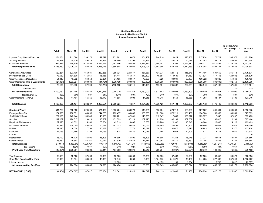|                                      |                   |            |           |               |            | <b>Income Statement Trend</b> |           |           |           |               |               |               |                                     |                              |
|--------------------------------------|-------------------|------------|-----------|---------------|------------|-------------------------------|-----------|-----------|-----------|---------------|---------------|---------------|-------------------------------------|------------------------------|
|                                      | Feb <sub>21</sub> | March 21   | April 21  | <b>May 21</b> | June 21    | July 21                       | Aug 21    | Sept 21   | Oct 21    | <b>Nov 21</b> | <b>Dec 21</b> | <b>Jan 22</b> | 12 Month AVG:<br>Oct '20-Sept<br>21 | <b>YTD - Current</b><br>Year |
|                                      |                   |            |           |               |            |                               |           |           |           |               |               |               |                                     |                              |
| Inpatient Daily Hospital Services    | 174,231           | 211,394    | 239,276   | 197,597       | 231,202    | 223,673                       | 154,457   | 244,718   | 219,424   | 170,256       | 217,954       | 170,724       | 204,576                             | 1,401,206                    |
| Ancillary Revenue                    | 46,657            | 38,910     | 49,414    | 45,356        | 40.690     | 44,799                        | 54,355    | 72,321    | 45,472    | 40,036        | 51,743        | 54.178        | 48.661                              | 362,904                      |
| <b>Outpatient Revenue</b>            | 914,981           | 954,700    | 1,074,862 | 1,015,193     | 1,283,956  | 1,352,452                     | 1,386,282 | 1,364,347 | 1,273,369 | 1,162,271     | 1,356,271     | 1,577,499     | 1,226,349                           | 9,472,491                    |
| <b>Total Hospital Revenue</b>        | 1,135,869         | 1,205,004  | 1,363,552 | 1,258,146     | 1,555,848  | 1,620,924                     | 1,595,094 | 1,681,386 | 1,538,265 | 1,372,563     | 1,625,968     | 1,802,401     | 1,479,585                           | 11,236,601                   |
| <b>Contractual Allowances</b>        | 529,284           | 523,160    | 155,981   | 252,235       | 388,721    | 224,877                       | 457,567   | 404,071   | 324,712   | 415,578       | 447,106       | 501,660       | 385,413                             | 2,775,571                    |
| Provision for Bad Debts              | 73,530            | 161,600    | 176,861   | 115,056       | 84,411     | 155,817                       | 210,892   | 48,684    | 140,689   | 54,169        | 137,821       | 117,448       | 123,082                             | 865,520                      |
| <b>Other Allowances/Deductions</b>   | 51,310            | 40.302     | 64,858    | 25,201        | 34,185     | 83,017                        | 76.635    | 4,829     | 39,931    | 63,107        | 100,622       | 38,322        | 51.860                              | 406,463                      |
| Other Operating: IGTs & Supplemental | (627, 987)        | (363, 854) | (300,000) | (444, 764)    | (996, 499) | (300, 000)                    | (300,000) | (300,000) | (300,000) | (300,000)     | (300,000)     | (300,000)     | (402, 759)                          | (2, 100, 000)                |
| <b>Total Deductions</b>              | 26,137            | 361,208    | 97,700    | (52, 272)     | (489, 182) | 163,711                       | 445,094   | 157,584   | 205,332   | 232,854       | 385,549       | 357,430       | 157,595                             | 1,947,554                    |
| Contractual %                        |                   |            |           |               |            |                               |           |           |           |               |               |               | 11%                                 | 17%                          |
| <b>Net Patient Revenue</b>           | 1,109,732         | 843,796    | 1,265,852 | 1,310,418     | 2,045,030  | 1,457,213                     | 1,150,000 | 1,523,802 | 1,332,933 | 1,139,709     | 1,240,419     | ,444,971      | 1,321,990                           | 9,289,047                    |
| Net Revenue %                        | 98%               | 70%        | 93%       | 104%          | 131%       | 90%                           | 72%       | 91%       | 87%       | 83%           | 76%           | 80%           | 89%                                 | 83%                          |
| <b>Other Operating Revenue</b>       | 13,333            | 14,401     | 16,355    | 15,173        | 14,595     | 14,004                        | 14,615    | 15,318    | 14,551    | 15,668        | 14,753        | 34,137        | 16,409                              | 123,046                      |
| <b>Total Revenue</b>                 | 1,123,065         | 858.197    | 1,282,207 | 1,325,591     | 2.059.625  | 1,471,217                     | 1,164,615 | 1.539.120 | 1,347,484 | 1,155,377     | 1,255,172     | 1.479.108     | 1,338,398                           | 9,412,093                    |
| Salaries & Wages                     | 541,262           | 588,389    | 629,663   | 571,404       | 1,030,764  | 533,278                       | 543,935   | 536,284   | 579,710   | 564,028       | 627,862       | 565,381       | 609,330                             | 3,950,478                    |
| <b>Employee Benefits</b>             | 174,606           | 180,531    | 143,898   | 244,263       | 203,497    | 149,686                       | 158,608   | 171,366   | 373,211   | 181,430       | 134,580       | 159,058       | 189,561                             | 1,327,939                    |
| <b>Professional Fees</b>             | 221,195           | 242,144    | 150,240   | 148,383       | 173,721    | 142,301                       | 118,353   | 112,847   | 112,883   | 180,917       | 109,637       | 112,547       | 152,097                             | 889,485                      |
| Supplies                             | 112,189           | 120,817    | 129,018   | 13,552        | 131,829    | 157,223                       | 109,110   | 61,224    | 106,131   | 109,659       | 101,501       | 182,616       | 111,239                             | 827,464                      |
| Repairs & Maintenance                | 32,625            | 43,832     | 14,960    | 50,554        | 42,013     | 16,885                        | 6,638     | 25,766    | 20,930    | 13,640        | 8,884         | 12,666        | 24,116                              | 105,409                      |
| <b>Purchased Services</b>            | 94,625            | 124,045    | 146,846   | 70,047        | 161,073    | 139,826                       | 94,063    | 140,865   | 125,499   | 70,442        | 66,996        | 132,609       | 113,911                             | 770,300                      |
| <b>Utilities</b>                     | 19,190            | 16,004     | 17,793    | 10,182        | 13,427     | 17,771                        | 18,077    | 24,502    | 30,677    | 5,875         | 6,943         | 4,079         | 15,377                              | 107,924                      |
| Insurance                            | 11,755            | 11,755     | 11,755    | 11,755        | 11,878     | 23,430                        | 10,075    | 11,755    | 12,982    | 12,703        | 13,521        | 13,112        | 13,040                              | 97,578                       |
| Interest                             |                   |            |           |               |            |                               |           |           |           |               |               |               |                                     | $\Omega$                     |
| Depreciation                         | 45,720            | 45,720     | 45,896    | 45,896        | 45,896     | 45,896                        | 45,896    | 45,896    | 37,258    | 45,975        | 37,021        | 38,614        | 43,807                              | 296,556                      |
| Other Expense                        | 16,852            | 15,641     | 85,361    | 29,111        | 57,639     | 121,049                       | 44,214    | 152,351   | 30,170    | 33,332        | 211,206       | 76,536        | 72,789                              | 668,858                      |
| <b>Total Expenses</b>                | 1,270,019         | 1,388,878  | 1,375,430 | 1,195,147     | 1,871,737  | 1,347,345                     | 1,148,969 | 1,282,856 | 1,429,451 | 1,218,001     | 1,318,151     | 1,297,218     | 1,345,267                           | 9,041,991                    |
| <b>Expenses %</b>                    | 113%              | 162%       | 107%      | 90%           | 91%        | 92%                           | 99%       | 83%       | 106%      | 105%          | 105%          | 88%           | 101%                                | 7%                           |
| <b>Profit/Loss from Operations</b>   | (146, 954)        | (530,681   | (93, 223) | 130,444       | 187,888    | 123,872                       | 15,646    | 256,264   | (81, 967) | (62, 624)     | (62, 979)     | 181,890       | (6, 869)                            | 370,102                      |
| <b>Tax Revenue</b>                   | 92,500            | 92,500     | 92,500    | 94,920        | 92,500     | 95,000                        | 95.000    | 95,000    | 92.500    | 92,500        | 92,500        | 100.855       | 94.023                              | 663,355                      |
| Other Non Operating Rev (Exp)        | 50,000            | 81,574     | 88,340    | 40,000        | 19,949     | 6,039                         | 3,903     | 1,574,676 | 311,075   | 40,160        | 244,733       | 327,636       | 232,340                             | 2,508,222                    |
| Interest Income                      |                   |            |           |               | 12,005     |                               |           | 14,173    | 31        | 1,064         |               | 6,789         | 6,812                               | 22,057                       |
| Net Non-operating Rev/(Exp)          | 142.500           | 174.074    | 180.840   | 134,920       | 124,454    | 101.039                       | 98.903    | 1.683.849 | 403,606   | 133,724       | 337.233       | 435.280       | 333.176                             | 3.193.634                    |
| <b>NET INCOME/ (LOSS)</b>            | (4, 454)          | (356, 607) | 87,617    | 265,364       | 312,342    | 224,911                       | 114,549   | 1,940,113 | 321,639   | 71,100        | 274,254       | 617,170       | 326,307                             | 3,563,736                    |

**Southern Humboldt Community Healthcare District**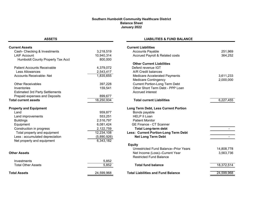#### **Southern Humboldt Community Healthcare District Balance Sheet January 2022**

**ASSETS**

### **LIABILITIES & FUND BALANCE**

| <b>Current Assets</b>                  |             | <b>Current Liabilities</b>                |            |
|----------------------------------------|-------------|-------------------------------------------|------------|
| Cash- Checking & Investments           | 3,218,519   | <b>Accounts Payable</b>                   | 251,969    |
| <b>LAIF Account</b>                    | 10,940,314  | Accrued Payroll & Related costs           | 364,252    |
| Humboldt County Property Tax Acct      | 800,000     |                                           |            |
|                                        |             | <b>Other Current Liabilities</b>          |            |
| <b>Patient Accounts Receivable</b>     | 4,379,072   | Deferd revenue IGT                        |            |
| <b>Less Allowances</b>                 | 2,543,417   | A/R Credit balances                       |            |
| <b>Accounts Receivable- Net</b>        | 1,835,655   | Medicare Accelerated Payments             | 3,611,233  |
|                                        |             | <b>Medicare Contingency</b>               | 2,000,000  |
| <b>Other Receivables</b>               | 397,228     | <b>Current Portion-Long Term Debt</b>     |            |
| Inventories                            | 159,541     | Other Short Term Debt - PPP Loan          |            |
| <b>Estimated 3rd Party Settlements</b> |             | Accrued interest                          |            |
| Prepaid expenses and Deposits          | 899,677     |                                           |            |
| <b>Total current assets</b>            | 18,250,934  | <b>Total current Liabilities</b>          | 6,227,455  |
| <b>Property and Equipment</b>          |             | Long Term Debt, Less Current Portion      |            |
| Land                                   | 959,877     | Bonds payable                             |            |
| Land improvements                      | 553,251     | <b>HELP II Loan</b>                       |            |
| <b>Buildings</b>                       | 2,516,797   | <b>Patient Monitor</b>                    |            |
| Equipment                              | 6,081,424   | <b>GE Finance - CT Scanner</b>            |            |
| Construction in progress               | 2,122,759   | <b>Total Long-term debt</b>               |            |
| Total property and equipment           | 12,234,108  | Less: Current Portion-Long Term Debt      |            |
| Less : accumulated depreciation        | (5,890,926) | <b>Net Long Term Debt</b>                 |            |
| Net property and equipment             | 6,343,182   |                                           |            |
|                                        |             | <b>Equity</b>                             |            |
|                                        |             | Unrestricted Fund Balance--Prior Years    | 14,808,778 |
| <b>Other Assets</b>                    |             | Net Income (Loss)--Current Year           | 3,563,736  |
|                                        |             | <b>Restricted Fund Balance</b>            |            |
| Investments                            | 5,852       |                                           |            |
| <b>Total Other Assets</b>              | 5,852       | <b>Total fund balance</b>                 | 18,372,514 |
| <b>Total Assets</b>                    | 24,599,968  | <b>Total Liabilities and Fund Balance</b> | 24,599,968 |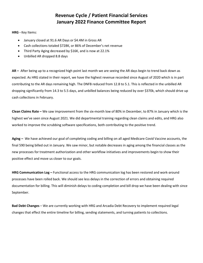## **Revenue Cycle / Patient Financial Services January 2022 Finance Committee Report**

**HRG -** Key Items:

- January closed at 91.6 AR Days or \$4.4M in Gross AR
- Cash collections totaled \$728K, or 86% of December's net revenue
- Third Party Aging decreased by \$16K, and is now at 22.1%
- Unbilled AR dropped 8.8 days

**AR –** After being up to a recognized high point last month we are seeing the AR days begin to trend back down as expected. As HRG stated in their report, we have the highest revenue recorded since August of 2020 which is in part contributing to the AR days remaining high. The DNFB reduced from 12.8 to 5.1. This is reflected in the unbilled AR dropping significantly from 14.3 to 5.5 days, and unbilled balances being reduced by over \$370k, which should drive up cash collections in February.

**Clean Claims Rate –** We saw improvement from the six-month low of 80% in December, to 87% in January which is the highest we've seen since August 2021. We did departmental training regarding clean claims and edits, and HRG also worked to improve the scrubbing software specifications, both contributing to the positive trend.

**Aging –** We have achieved our goal of completing coding and billing on all aged Medicare Covid Vaccine accounts, the final 590 being billed out in January. We saw minor, but notable decreases in aging among the financial classes as the new processes for treatment authorization and other workflow initiatives and improvements begin to show their positive effect and move us closer to our goals.

**HRG Communication Log –** Functional access to the HRG communication log has been restored and work-around processes have been rolled back. We should see less delays in the correction of errors and obtaining required documentation for billing. This will diminish delays to coding completion and bill drop we have been dealing with since September.

**Bad Debt Changes** – We are currently working with HRG and Arcadia Debt Recovery to implement required legal changes that effect the entire timeline for billing, sending statements, and turning patients to collections.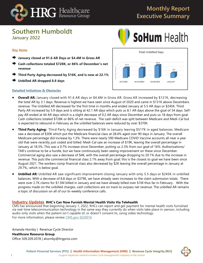

## **Monthly Report Executive Summary**

## **Southern Humboldt January 2022**



## **Key Items**

- **January closed at 91.6 AR Days or \$4.4M in Gross AR**
- **Cash collections totaled \$728K, or 86% of December's net revenue**
- **Third Party Aging decreased by \$16K, and is now at 22.1%**
- **Unbilled AR dropped 8.8 days**

### **Detailed Initiatives & Obstacles**



- **Overall AR:** January closed with 91.6 AR days or \$4.4M in Gross AR. Gross AR increased by \$121K, decreasing the total AR by 3.1 days. Revenue is highest we have seen since August of 2020 and came in \$131K above Decembers revenue. The Unbilled AR decreased for the first time in months and ended January at 5.5 AR days or \$245K. Third Party AR increased by 5.9 days and is sitting at 42.1 AR days which puts us 8.1 AR days above the goal of 34 days. Selfpay AR ended at 44 AR days which is a slight decrease of 0.2 AR days since December and puts us 18 days from goal. Cash collections totaled \$728K or 86% of net revenue. The cash deficit was split between Medicare and Medi-Cal but is expected to rebound in February as the unbilled balances were reduced by over \$370K.
- **Third Party Aging:** Third Party Aging decreased by \$16K in January leaving \$517K in aged balances. Medicare saw a decrease of \$30K which put the Medicare financial class at 28.4% aged over 90 days in January. The overall Medicare percentage did increase by 1.3%. There were nearly 590 Medicare COVID Vaccine accounts all near a year old that were recently just coded and billed. Medi-Cal saw an increase of \$19K, leaving the overall percentage in January at 18.3%. This was a 0.7% increase since December, putting us 2.3% from our goal of 16%. Authorizations/ TAR's continue to be a hurdle, but we have continuously been seeing improvement on these since December. Commercial aging also saw a decrease of \$4K, with the overall percentage dropping to 20.1% due to the increase in revenue. This puts the commercial financial class 2.1% away from goal; this is the closest to goal we have been since August 2021. The workers comp financial class also decreased by \$2K leaving the overall percentage in January at 29.7%.; which is below goal.
- **Unbilled AR:** Unbilled AR saw significant improvement closing January with only 5.5 days or \$245K in unbilled balances. With a decrease of 8.8 days or \$379K, we have already seen increases to the claim submission totals. There were over 2.7K claims for \$1.5M billed in January and we have already billed over \$1M thus far in February. With the progress made on the unbilled charges, cash collections are on track to surpass net revenue. The unbilled AR remains a topic of discussion on all of our bi-weekly conference calls.

### **Industry Updates RHC's Can Now Furnish Mental Health Visits Via Telehealth**

CMS has announced that beginning January 1, 2022, RHCs can report and get payment for mental health visits furnished via real-time telecommunication technology in the same way they currently do when visits take place in-person, including audio-only visits when the patient isn't capable of, or doesn't consent to, using video technology. For more information, please review [CMS.gov SE20016](https://www.cms.gov/files/document/se20016-new-expanded-flexibilities-rhcs-fqhcs-during-covid-19-phe.pdf)

Amanda Hornby | Revenue Cycle Director

**Healthcare Resource Group**

Office 509.209.2078 | ahornby@hrgpros.com

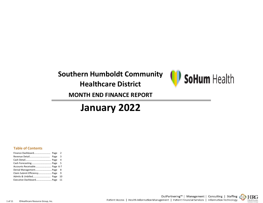# **Southern Humboldt Community Healthcare District**



## **MONTH END FINANCE REPORT**

# **January 2022**

### **Table of Contents**

| Finance Dashboard Page       | $\overline{2}$          |
|------------------------------|-------------------------|
|                              | $\overline{\mathbf{3}}$ |
|                              |                         |
|                              |                         |
| Accounts Receivable Page 6-7 |                         |
| Denial Management Page 8     |                         |
|                              |                         |
|                              | 10                      |
| Executive Dashboard Page 11  |                         |

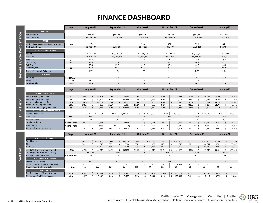# **FINANCE DASHBOARD**

|                                        | <b>Target</b> | August-21   | September-21 | October-21  | November-21 | December-21 | January-22  |
|----------------------------------------|---------------|-------------|--------------|-------------|-------------|-------------|-------------|
| <b>REVENUE</b>                         |               |             |              |             |             |             |             |
| <b>Net Revenue</b>                     |               | \$828,034   | \$893,497    | \$905,763   | \$766,278   | \$841,382   | \$851,804   |
| <b>Gross Revenue</b>                   |               | \$1,487,956 | \$1,526,536  | \$1,379,368 | \$1,250,010 | \$1,508,417 | \$1,639,879 |
| <b>CASH</b>                            |               |             |              |             |             |             |             |
| Cash Collections as a % of Net Revenue | 100%          | 117%        | 94%          | 95%         | 93%         | 95%         | 86%         |
| <b>Cash Collections</b>                |               | \$1,022,607 | \$782,067    | \$847,125   | \$845,077   | \$729,186   | \$727,607   |
| <b>ACCOUNTS RECEIVABLE</b>             |               |             |              |             |             |             |             |
| Net AR                                 |               | \$1,646,539 | \$2,015,550  | \$2,298,768 | \$2,152,522 | \$1,993,772 | \$1,835,655 |
| <b>Gross AR</b>                        |               | \$3,977,473 | \$4,260,844  | \$4,103,537 | \$3,941,004 | \$4,258,570 | \$4,379,072 |
| Unbilled                               | 3             | 12.4        | 12.0         | 11.4        | 11.1        | 14.3        | 5.5         |
| <b>Third Party</b>                     | 34            | 34.0        | 35.9         | 32.5        | 34.5        | 36.2        | 42.1        |
| Self Pay                               | 26            | 33.0        | 37.3         | 42.0        | 40.6        | 44.2        | 44.0        |
| <b>Total Days in AR</b>                | 63            | 79.4        | 85.1         | 85.9        | 86.3        | 94.7        | 91.6        |
| Days in AR - Credit Balances           | $\leq 1$      | 1.72        | 1.94         | 1.99        | 2.10        | 2.08        | 2.04        |
| <b>UNBILLED</b>                        |               |             |              |             |             |             |             |
| In-house                               | < 2 Days      | 1.2         | 0.4          | 0.1         | 0.5         | 1.4         | 0.4         |
| <b>DNFB</b>                            | $<$ 1 Day     | 11.2        | 11.5         | 11.3        | 10.7        | 12.8        | 5.1         |
| <b>Total Unbilled</b>                  | <3 Days       | 12.4        | 12.0         | 11.4        | 11.1        | 14.3        | 5.5         |

|                                            |                                             | <b>Target</b> |       | August-21               |       | September-21             |       | October-21 |             | November-21  |    |           | December-21 |     |           | January-22 |     |           |
|--------------------------------------------|---------------------------------------------|---------------|-------|-------------------------|-------|--------------------------|-------|------------|-------------|--------------|----|-----------|-------------|-----|-----------|------------|-----|-----------|
|                                            | AGING (excluding credits)                   |               |       |                         |       |                          |       |            |             |              |    |           |             |     |           |            |     |           |
|                                            | Medicare Aging > 90 Days                    | 9%            | 16.8% | 94,348                  | 11.7% | 88,085                   | 11.8% |            | 103,070     | 15.6%        |    | 120,983   | 27.1%       |     | 246,065   | 28.4%      |     | 215,914   |
|                                            | Medicaid Aging > 90 Days                    | 16%           | 12.6% | 166,192                 | 29.6% | 381,545                  | 22.1% |            | 202,685     | 26.3%        |    | 276,293   | 17.6%       |     | 183,535   | 18.3%      |     | 202,918   |
| arty                                       | Commercial Aging > 90 Days                  | 18%           | 23.8% | 109,064                 | 39.2% | 149,793                  | 35.4% |            | 121,430     | 30.1%        |    | 90,713    | 26.5%       |     | 92,817    | 20.1%      |     | 89,062    |
|                                            | Work Comp Aging > 90 Days                   | 36%           | 29.6% | 14,392                  | 37.6% | 16,007                   | 55.1% |            | 17,005      | 48.9%        |    | 13,827    | 30.9%       |     | 11,187    | 29.7%      |     | 9,351     |
| ௨                                          | <b>Total Third Party Aging &gt; 90 Days</b> | 15%           | 16.1% | 383,996                 | 25.8% | 635,430                  | 20.5% |            | 444,190     | 23.3%        |    | 501,816   | 22.8%       |     | 533,604   | 22.1%      |     | 517,245   |
| ਠ                                          | <b>CLAIM SUBMISSION EFFECIENCY</b>          |               |       |                         |       |                          |       |            |             |              |    |           |             |     |           |            |     |           |
| $\overline{\phantom{0}}$<br>$\overline{C}$ | <b>Claims Submission</b>                    |               | 2,357 | $\frac{1}{5}$ 1,543,681 |       | $1,820$   \$ $1,421,703$ | 1,579 |            | \$1,164,069 | $1,488$   \$ |    | 1,198,525 | 1,365       | S.  | 1,451,836 | 2,717      |     | 1,516,636 |
|                                            | <b>Clean Claims</b>                         | 85%           |       | 87%                     |       | 85%                      |       | 82%        |             | 81%          |    |           |             | 80% |           |            | 87% |           |
|                                            | Denial Percent                              | 5%            |       | 2%                      |       | 5%                       |       | 5%         |             |              | 6% |           |             | 5%  |           |            | 8%  |           |
|                                            | <b>Total Denial Rate</b>                    | Count   Amt   | 106   | 5 ا<br>31,251           | 93    | 73,865<br>۱Ś             | 81    |            | 66,251      | 90           |    | 65,452    | 61          |     | 64,589    | 106        |     | 114,475   |
|                                            | <b>Late Charges</b>                         | Count   Amt   | 14    | (888)                   | 59    | (179)                    |       |            | 442         | 50           |    | 27,619    | 65          |     | 20,619    | 16         |     | 4,924     |
|                                            | <b>Communication Log Backlog</b>            |               | 196   | 178,436                 | 177   | 163,425                  | 152   |            | 280,519     | 201          |    | 300,643   | 77          |     | 138,984   | 144        |     | 276,915   |

|                    |                                             | <b>Target</b>  |       | August-21    |          | September-21 |       | October-21               | November-21 |               |       | December-21  |          | January-22      |
|--------------------|---------------------------------------------|----------------|-------|--------------|----------|--------------|-------|--------------------------|-------------|---------------|-------|--------------|----------|-----------------|
|                    | <b>INVENTORY &amp; QUALITY</b>              |                |       |              |          |              |       |                          |             |               |       |              |          |                 |
|                    | <b>Total Inventory</b>                      |                | 3,271 | \$1,653,468  | 3,545    | \$1,866,174  | 3,862 | \$2,006,398              | 3.872       | 1,855,738     | 4,058 | 1,987,106    | 4,293    | 2,103,148<br>S. |
|                    | <b>New</b>                                  |                | 742   | 119,678      | 328      | 117,508      | 501   | 120,469                  | 423         | 116,312       | 35    | 100,641      | 463      | 98,347          |
|                    | Resolved                                    |                | 222   | 65,720       | 184      | 19,746       | 198   | 34,137                   | 147         | 16,190        | 372   | 308,580      | 128      | 13,825          |
| $\widehat{\sigma}$ | Aged >120 days from Assignment              | < 25%          | 39.3% | 649,510      | 34.8%    | 650,082      | 33.1% | 664,210                  | 22.7%       | 421,465       | 20.0% | 397,548      | 20.9%    | 439,319         |
| $\Delta$           | Total Payment Plans over 120 days           |                |       | \$14,093     |          | \$19,364     |       | \$12,744                 | \$18,274    |               |       | \$18,185     |          | \$19,934        |
| $\div$             | Average Speed to Answer                     | < 60 seconds   |       | 134          |          | 139          |       | 225                      | 119         |               |       | 221          |          | 206             |
| ဖြ                 | <b>STATEMENTS &amp; LETTERS</b>             |                |       |              |          |              |       |                          |             |               |       |              |          |                 |
|                    | <b>Statements &amp; Letters</b>             |                |       | 314          |          | 247          |       | 262                      | 312         |               |       | 217          |          | 248             |
|                    | <b>Charity Care Applications In Process</b> |                |       |              | $\Omega$ |              |       | $\overline{\phantom{0}}$ | 16          | 3,509         | 0     |              | $\Omega$ |                 |
|                    | Inbound and Outbound Calls                  | In $\vert$ Out | 156   | 152          | 139      | 29           | 119   | 39                       | 125         | 147           | 86    | 85           | 80       | 67              |
|                    | <b>WRITE OFFS</b>                           |                |       |              |          |              |       |                          |             |               |       |              |          |                 |
|                    | Bad Debt as a % of Gross Revenue            | $< 2\%$        | 2.9%  | 43,004<br>Ŝ. | 0.5%     | Ś.<br>7,470  | 0.5%  | 6,828<br>Ŝ.              | 12.7%       | 158,775<br>Ŝ. | 2.1%  | 31,967<br>S. | 0.0%     | -S              |
|                    | Charity as a % of Gross Revenue             | < 2%           | 14.2% | 210,892      | 0.4%     | 5,495        | 0.2%  | 3,409                    | 8.6%        | 107,586       | 0.4%  | 6,325        | 0.5%     | 7,646           |

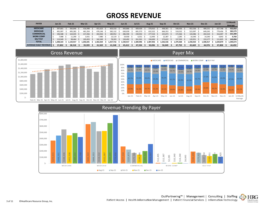# **GROSS REVENUE**

| <b>PAYER</b>                   | $Jan-21$  | Feb-21   | <b>Mar-21</b> | Apr-21   | $Mav-21$ | Jun-21    | <b>Jul-21</b> | <b>Aug-21</b> | $Sep-21$  | Oct-21   | <b>Nov-21</b> | <b>Dec-21</b> | $Jan-22$  | 13 Month<br>Average |
|--------------------------------|-----------|----------|---------------|----------|----------|-----------|---------------|---------------|-----------|----------|---------------|---------------|-----------|---------------------|
| <b>MEDICARE</b>                | 397,801   | 366.846  | 416,998       | 451.623  | 403,310  | 443.866   | 409,439       | 370.915       | 448,301   | 548,436  | 452,536       | 489,231       | 427.748   | 432,850             |
| <b>MEDICAID</b>                | 491.997   | 495.282  | 461.354       | 476.146  | 582.132  | 630.039   | 681.573       | 632.322       | 666.353   | 518.532  | 522.097       | 649.245       | 779,456   | 583,579             |
| <b>COMMERCIAL</b>              | 196.588   | 163,035  | 217,456       | 263,926  | 180,952  | 286,590   | 230,932       | 277.534       | 225,873   | 172,566  | 144,086       | 202,524       | 316.007   | 221,390             |
| <b>WORK COMP</b>               | 7.988     | 11.290   | 3.431         | 7.980    | 13.119   | 19,930    | 6.551         | 12.495        | 12.387    | 2,285    | 10.340        | 14.240        | 4.843     | 9,760               |
| <b>SELF PAY</b>                | 113.949   | 98.464   | 103.453       | 162.349  | 78.203   | 150.492   | 261.501       | 194.690       | 173.622   | 137.550  | 120,951       | 153.177       | 111.825   | 143,094             |
| <b>TOTAL</b>                   | 1.208.323 | .134.917 | 1.202.691     | .362.024 | 257.716  | 1.530.917 | L.589.996     | 1.487.956     | 1,526,536 | .379.368 | .250.010      | 1.508.417     | 1,639,879 | 1,390,673           |
| <b>AVERAGE DAILY REVENUE 5</b> | 37,802    | 38.518   | 39,399        | 41,569   | 41.548   | 45.612    | 47.594        | 50,096        | 50.049    | 47,759   | 45,669        | 44,976        | 47.808    | 44,492              |





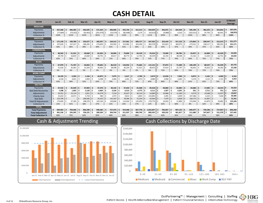# **CASH DETAIL**

| <b>PAYER</b>                        |              | $Jan-21$       |          | <b>Feb-21</b>  |        | <b>Mar-21</b>  |              | Apr-21          |      | <b>May-21</b>  |         | <b>Jun-21</b>  |      | <b>Jul-21</b>  |     | <b>Aug-21</b>     | <b>Sep-21</b> |              | Oct-21        |    | <b>Nov-21</b>    |     | <b>Dec-21</b> |     | <b>Jan-22</b> |      | 13 Month<br>Average |
|-------------------------------------|--------------|----------------|----------|----------------|--------|----------------|--------------|-----------------|------|----------------|---------|----------------|------|----------------|-----|-------------------|---------------|--------------|---------------|----|------------------|-----|---------------|-----|---------------|------|---------------------|
| <b>MEDICARE</b>                     |              |                |          |                |        |                |              |                 |      |                |         |                |      |                |     |                   |               |              |               |    |                  |     |               |     |               |      |                     |
| Payments                            | \$           | 257,268        | Ŝ.       | 406,285        | Ŝ      | 463,695        | -Ś           | $571,263$ \$    |      | 406,006        | \$      | 453,734        | \$   | 312,313        | \$  | 434,639           | \$<br>302,872 | . Ś          | $324,436$ \$  |    | 505,109          | l S | 382,225       | -\$ | 353,842       | \$.  | 397,976             |
| Adjustments                         | \$           | (77, 684)      | Ŝ.       | $(74, 352)$ \$ |        | (93, 462)      | l \$         | $(255, 470)$ \$ |      | (53, 574)      | \$      | $(85,608)$ \$  |      | 2,174          | \$  | $(43,612)$ \$     | (9,988)       | \$           | 6,310         | Ŝ. | $(103,551)$ \$   |     | 97,705        | Ŝ.  | 66,441        | l \$ | (48, 052)           |
| <b>Collection %</b>                 |              | 143%           |          | 122%           |        | 125%           |              | 181%            |      | 115%           |         | 123%           |      | 99%            |     | 111%              | 103%          |              | 98%           |    | 126%             |     | 80%           |     | 84%           |      | 116%                |
| <b>MEDICAID</b>                     |              |                |          |                |        |                |              |                 |      |                |         |                |      |                |     |                   |               |              |               |    |                  |     |               |     |               |      |                     |
| Payments                            | \$           | 171,139        | \$       | 199,789        | Ŝ.     | 235,677        | - S          | 182,937         | -\$  | 164,512        | \$      | $217,061$ \$   |      | 200,717        | \$  | 347,502           | \$<br>253,418 | . Ś          | $317,123$ \$  |    | 173,863 \$       |     | 200,547       | Ŝ.  | 212,315       | - \$ | 221,277             |
| Adjustments                         | \$           | 237,643        | Ŝ.       | 237,317 \$     |        | 366,205        | -S           | 274,829         | I\$  | 235,943        | \$      | 314,982        | Ŝ.   | 303,594        | S.  | 482,578 \$        | 353,823       | \$           | 360,075 \$    |    | $273.521$ \$     |     | 338,117       | S.  | 396,591       | l \$ | 321,171             |
| <b>Collection %</b>                 |              | 42%            |          | 46%            |        | 39%            |              | 40%             |      | 41%            |         | 41%            |      | 40%            |     | 42%               | 42%           |              | 47%           |    | 39%              |     | 37%           |     | 35%           |      | 41%                 |
| <b>COMMERCIAL</b>                   |              |                |          |                |        |                |              |                 |      |                |         |                |      |                |     |                   |               |              |               |    |                  |     |               |     |               |      |                     |
| Payments                            | \$           | 48,563         | . Ś      | 51,231         | Ŝ.     | 49,668         | - Ś          | $62,265$ \$     |      | 50,004         | \$.     | 79,894         | \$   | 44,139         | \$  | $79,233$ \$       | 73,099        | -\$          | $90,785$ \$   |    | 23,057           | l S | 32,890        | - S | 42,329        | l \$ | 55,935              |
| Adjustments                         | \$           | 29,750         | \$       | 16,833         | l\$    | 22,668         | l\$          | 34,791          | S.   | 20,617         | Ŝ.      | $40,773$ \$    |      | $11,792$ \$    |     | $30,259$ \$       | 22,192        | $\mathsf{S}$ | $38,548$ \$   |    | $15,162$ \$      |     | $11,202$ \$   |     | $12,751$ \$   |      | 23,642              |
| <b>Collection %</b>                 |              | 62%            |          | 75%            |        | 69%            |              | 64%             |      | 71%            |         | 66%            |      | 79%            |     | 72%               | 77%           |              | 70%           |    | 60%              |     | 75%           |     | 77%           |      | 71%                 |
| <b>BLUES</b>                        |              |                |          |                |        |                |              |                 |      |                |         |                |      |                |     |                   |               |              |               |    |                  |     |               |     |               |      |                     |
| Payments                            | \$.          | 67,970         | \$       | $71,767$ \$    |        | 64,062         | ∣ \$         | $78,665$ \$     |      | 86,510         | \$.     | 118,932        | .\$  | 75,666         | Ś.  | $115,131$ \$      | 97,873        | -\$          | $71,400$ \$   |    | 109,199 \$       |     | 88,547        | l S | $95,349$ \$   |      | 87,775              |
| Adjustments                         | Ś.           | 31,616         | <b>S</b> | 35,361         | Ŝ.     | 31,343         | l \$         | $36,462$ \$     |      | 38,598         | \$      | 26,324         | \$   | $51,912$ \$    |     | $48,423$ \$       | 37,614        | $\mathsf{S}$ | 31,797        | S. | 46,032 \$        |     | $35,632$ \$   |     | 34,181        | l \$ | 37,330              |
| <b>Collection %</b>                 |              | 0%             |          | 0%             |        | 0%             |              | 0%              |      | 0%             |         | 0%             |      | 0%             |     | 0%                | 72%           |              | 69%           |    | 70%              |     | 71%           |     | 74%           |      | 71%                 |
| <b>WORK COMP</b>                    |              |                |          |                |        |                |              |                 |      |                |         |                |      |                |     |                   |               |              |               |    |                  |     |               |     |               |      |                     |
| Payments                            | \$           | $10,193$ \$    |          | 2,303          | \$     | $1,166$ \$     |              | $10,873$ \$     |      | 7,073          | \$      | $5,617$ \$     |      | $2,700$ \$     |     | $2,674$ \$        | 12,018        | \$           | $7,004$ \$    |    | $8,873$ \$       |     | $5,181$ \$    |     | $4,469$ \$    |      | 6,165               |
| Adjustments                         | Ś            | 6,318          | Ŝ.       | 4,051          | Ŝ.     | 1,093          | l \$         | $6,398$ \$      |      | 2,464          | Ŝ.      | 1,441          | l \$ | $1,073$ \$     |     | $4,080$ \$        | 2,958         | Ŝ.           | 3,282         | Ŝ. | $5,576$ \$       |     | $3,131$ \$    |     | $1,731$ \$    |      | 3,353               |
| <b>Collection %</b>                 |              | 62%            |          | 36%            |        | 52%            |              | 63%             |      | 74%            |         | 80%            |      | 72%            |     | 40%               | 80%           |              | 68%           |    | 61%              |     | 62%           |     | 72%           |      | 63%                 |
| <b>SELF PAY</b>                     |              |                |          |                |        |                |              |                 |      |                |         |                |      |                |     |                   |               |              |               |    |                  |     |               |     |               |      |                     |
| Payments                            | \$           | 47,532         | -S       | 25,429         |        | 47,003         | -\$          | $37,376$ \$     |      | 40,142         | -S      | 37,654         | -S   | $25,468$ \$    |     | $39,318$ \$       | 40,860        | -S           | $32,085$ \$   |    | $24,686$ \$      |     | $17,085$ \$   |     | 18,553        | ۱s   | 33,322              |
| <b>Bad Debt Recoveries</b>          | \$           | $7,298$ \$     |          | 1,602          | \$     | 5,126          | ۱Ś           | $4,903$ \$      |      | 3,226          | \$.     | $6,515$ \$     |      | 6,775          | ۱\$ | $4,111$ \$        | 1,927         | -\$          | $4,291$ \$    |    | 291              | ۱s  | $2,711$ \$    |     | 751           | l \$ | 3,810               |
| Adjustments                         |              | $32,351$ \$    |          | 23,114         | Ŝ.     | 2,051          | <sup>5</sup> | 26,379          | l \$ | 7,216          | Ś       | $25,627$ \$    |      | 39,124         |     | $24,880$ \$       | 10,968        | S,           | 11,569        |    | 8,579            | - S | $23,588$ \$   |     | 12,037        |      | 19,037              |
| <b>Charity Care</b>                 |              | 15,633         | l \$     | 14,071         | Ŝ.     | 5.744          | -Ś           | 580             | -\$  | 1,973          | \$      | 9,813          | l S  | 5,845          | Ŝ.  | 210,892 \$        | 5,495         | \$           | 3,409         |    | 107,586          | - S | 6,325         | Ŝ.  | 7,646         | l S  | 30,386              |
| <b>Bad Debt</b>                     | $\mathsf{S}$ | 125,709        | Ŝ.       | $\sim$         | $\sim$ | 200,583        | $\zeta$      | 76,235          | l \$ | 141,507        | $\zeta$ | 78,584 \$      |      | 75,234         |     | $43,004$ \$       | 7,470         | Ś            | 6,828         |    | 158,775          | - Ś | $31,967$ \$   |     | $\sim$        |      | 72,761              |
| <b>Total SP Adjustments</b>         | Ŝ.           | 173.693<br>21% | Ŝ.       | 37,185<br>41%  | Ŝ.     | 208,378<br>18% | -Ś           | 103,194<br>27%  | -Ś   | 150,696<br>21% | Ŝ.      | 114,024<br>25% | Ŝ    | 120,203<br>17% | Ŝ.  | 278,776 \$<br>12% | 23,933<br>63% | S.           | 21.806<br>60% |    | 274,940 \$<br>8% |     | 61,879<br>22% | Ŝ.  | 19,682<br>49% | - \$ | 122,184<br>30%      |
| <b>Collection %</b><br><b>TOTAL</b> |              |                |          |                |        |                |              |                 |      |                |         |                |      |                |     |                   |               |              |               |    |                  |     |               |     |               |      |                     |
| <b>Total Payments</b>               | \$           | 609,963        | \$       | 758,406        | - S    | 866,398        | ۱Ś.          | 948,282 \$      |      | 757,474 \$     |         | $919,408$ \$   |      | $667,778$ \$   |     | $1,022,607$ \$    | 782,067       | \$           | $847,125$ \$  |    | 845,077 \$       |     | 729,186 \$    |     | 727,607       | l \$ | 806,260             |
| <b>Total Adjustment</b>             | Ŝ.           | 401,336        | \$       | $256,395$ \$   |        | $536,225$ \$   |              | 200,204         | s.   | 394,744 \$     |         | $411,937$ \$   |      | 490,749 \$     |     | 800,505 \$        | 430,532       | \$           | $461,817$ \$  |    | $511,680$ \$     |     | $547,667$ \$  |     | 531,378 \$    |      | 337,445             |
| <b>Total Collection %</b>           |              | 60%            |          | 75%            |        | 62%            |              | 83%             |      | 66%            |         | 69%            |      | 58%            |     | 56%               | 64%           |              | 65%           |    | 62%              |     | 57%           |     | 58%           |      | 64%                 |
|                                     |              |                |          |                |        |                |              |                 |      |                |         |                |      |                |     |                   |               |              |               |    |                  |     |               |     |               |      |                     |



## Cash & Adjustment Trending Table Trending Cash Collections by Discharge Date



OutPartnering<sup>™</sup> | Management | Consulting | Staffing

**HRG** 

Healthcare

GO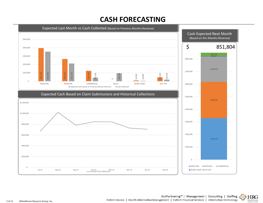# **CASH FORECASTING**



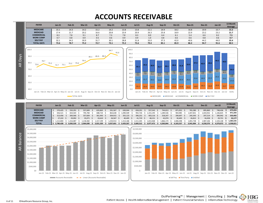# **ACCOUNTS RECEIVABLE**

| <b>PAYER</b>      | $Jan-21$ | <b>Feb-21</b> | $Mar-21$ | <b>Apr-21</b> | $May-21$ | <b>Jun-21</b> | Jul-21 | <b>Aug-21</b> | <b>Sep-21</b> | Oct-21 | <b>Nov-21</b> | <b>Dec-21</b> | <b>Jan-22</b> | 13 Month |
|-------------------|----------|---------------|----------|---------------|----------|---------------|--------|---------------|---------------|--------|---------------|---------------|---------------|----------|
|                   |          |               |          |               |          |               |        |               |               |        |               |               |               | Average  |
| <b>MEDICARE</b>   | 15.1     | 14.3          | 14.2     | 15.2          | 14.2     | 13.8          | 13.8   | 11.1          | 14.9          | 18.2   | 16.8          | 19.9          | 15.7          | 15.2     |
| <b>MEDICAID</b>   | 17.4     | 21.7          | 20.2     | 16.6          | 20.8     | 23.9          | 20.9   | 26.3          | 25.8          | 18.9   | 22.9          | 23.2          | 23.2          | 21.7     |
| <b>COMMERCIAL</b> | 8.3      | 7.8           | 9.1      | 8.7           | 7.3      | 7.8           | 8.3    | 8.0           | 6.4           | 6.1    | 5.4           | 6.6           | 8.2           | 7.5      |
| <b>WORK COMP</b>  | 0.7      | 0.8           | 0.9      | 0.5           | 0.6      | 0.9           | 0.9    | 1.0           | 0.8           | 0.6    | 0.6           | 0.8           | 0.6           | 0.7      |
| <b>SELF PAY</b>   | 32.1     | 34.2          | 30.9     | 31.7          | 30.1     | 28.8          | 31.8   | 33.0          | 37.3          | 42.0   | 40.6          | 44.2          | 44.0          | 35.4     |
| <b>TOTAL DAYS</b> | 73.6     | 78.7          | 75.2     | 72.7          | 73.1     | 75.2          | 75.6   | 79.4          | 85.1          | 85.9   | 86.3          | 94.7          | 91.6          | 80.5     |





| <b>PAYER</b>      | $Jan-21$  | <b>Feb-21</b> | <b>Mar-21</b> | <b>Apr-21</b> | $May-21$  | Jun-21    | <b>Jul-21</b> | <b>Aug-21</b> | $Sep-21$  | Oct-21    | <b>Nov-21</b> | <b>Dec-21</b> | $Jan-22$  | 13 Month  |
|-------------------|-----------|---------------|---------------|---------------|-----------|-----------|---------------|---------------|-----------|-----------|---------------|---------------|-----------|-----------|
|                   |           |               |               |               |           |           |               |               |           |           |               |               |           | Average   |
| <b>MEDICARE</b>   | 570.425   | 550,291       | 557.849       | 633,863       | 591.567   | 630.044   | 658,291       | 557.543       | 744,813   | 871.052   | 765.280       | 895,860       | 748,436   | 675,024   |
| <b>MEDICAID</b>   | 656.521   | 834.503       | 795.784       | 688,724       | 863.638   | .090.509  | 992.726       | .315.195      | .289.536  | 904.985   | 1.047.831     | .043.932      | .106.825  | 971,593   |
| <b>COMMERCIAL</b> | 313.456   | 300.566       | 357.604       | 361.943       | 304,915   | 355,123   | 396,231       | 403,116 \$    | 318.247   | 290.697   | 245.343       | 297,214       | 390,942   | 333,492   |
| <b>WORK COMP</b>  | 27.222    | 29.092        | 35.071        | 19,610        | 26.567    | 40,405    | 41,719        | 48,151        | 42,074    | 30,405    | 26,812        | 34.458        | 29,721    | 33,177    |
| <b>SELF PAY</b>   | 1.212.804 | 316.087       | .218.382      | 317<br>.199   | 250.914   | 1.313.186 | .511.345      | .653.468      | 1.866.174 | .006.398  | .855          | 1.987.106     | .103.148  | 1,585,535 |
| <b>TOTAL</b>      | 2.780.428 | 3.030.539     | 2.964.690     | 3.021.339     | 3.037.601 | 3.429.267 | 3.600.312     | 3.977.473     | 4.260.844 | 1.103.537 | 3.941.004     | 4.258.570     | 4.379.072 | 3,598,821 |



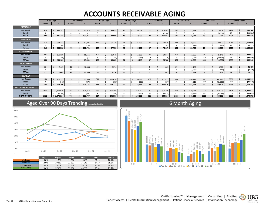# **ACCOUNTS RECEIVABLE AGING**

|                            |                | 0-30 Days               |                         | 31-60 Days   |         |                | 61-90 Days |         | 91-120 Days    |            |         |                | 121-180 Days |          |                | 181-365 Days |           |                | 366+ Days |           |        | <b>Grand Totals</b> |           |
|----------------------------|----------------|-------------------------|-------------------------|--------------|---------|----------------|------------|---------|----------------|------------|---------|----------------|--------------|----------|----------------|--------------|-----------|----------------|-----------|-----------|--------|---------------------|-----------|
|                            | # Acts         |                         | # Acts                  |              | ¢       | # Acts         |            | ¢       | # Acts         |            |         | # Acts         |              |          | # Acts         |              |           | # Acts         |           |           | # Acts |                     | Š.        |
| <b>MEDICARE</b>            |                |                         |                         |              |         |                |            |         |                |            |         |                |              |          |                |              |           |                |           |           |        |                     |           |
| Non-Credit                 | 424            | 376,742<br>.S           | 153                     | $\mathsf{S}$ | 130,016 | 16             |            | 37,088  | 13             |            | 60,209  | 22             |              | 107,503  | 646            | -\$          | 41,623    | 10             |           | 6,579     | 1284   | -\$                 | 759,760   |
| Credit                     | 0              |                         | 0                       |              | $\sim$  | 0              |            |         | 0              |            |         | $\mathbf{1}$   |              | (5,946)  | $\mathbf 0$    | .S           | $\sim$    | 9              |           | (5, 378)  | 10     | \$.                 | (11, 324) |
| <b>TOTAL</b>               | 424            | 376,742                 | 153                     |              | 130,016 | 16             |            | 37,088  | 13             |            | 60,209  | 23             |              | 101,557  | 646            |              | 41,623    | 19             |           | 1,201     | 1294   | \$                  | 748,436   |
| <b>MEDICAID</b>            |                |                         |                         |              |         |                |            |         |                |            |         |                |              |          |                |              |           |                |           |           |        |                     |           |
| Non-Credit                 | 514            | 634.414<br><sup>S</sup> | 177                     | <sub>S</sub> | 202,884 | 137            |            | 67,730  | 43             | $\sqrt{5}$ | 45,190  | 35             |              | 74,030   | 132            | -\$          | 50,875    | 21             |           | 32,823    | 1059   | . Ś                 | 1,107,946 |
| Credit                     | $\overline{2}$ | (108)                   | $\mathbf{1}$            | -Ś           | (133)   | $\mathbf 0$    |            |         | $\mathbf 0$    | Ŝ.         |         | $\overline{2}$ |              | (363)    | $\overline{2}$ | -S           | (77)      | $\overline{7}$ |           | (440)     | 14     | -\$                 | (1, 121)  |
| <b>TOTAL</b>               | 516            | 634,306                 | 178                     |              | 202,751 | 137            |            | 67,730  | 43             |            | 45,190  | 37             |              | 73,667   | 134            | Ś.           | 50,798    | 28             |           | 32,383    | 1073   |                     | 1,106,825 |
| <b>COMMERCIAL</b>          |                |                         |                         |              |         |                |            |         |                |            |         |                |              |          |                |              |           |                |           |           |        |                     |           |
| Non-Credit                 | 486            | 259,156                 | 144                     |              | 65,556  | 102            |            | 30,048  | 28             |            | 16,599  | 37             |              | 24,517   | 101            | $\mathsf{S}$ | 22,306    | 34             |           | 25,640    | 932    | \$                  | 443,822   |
| Credit                     | $\overline{2}$ | (55)                    | $\overline{2}$          | - Ś          | (55)    | $\mathbf{1}$   |            | (45)    | $\overline{3}$ | \$.        | (354)   | 10             |              | (729)    | 19             | . \$         | (12,044)  | 370            |           | (39, 598) | 407    | s.                  | (52, 880) |
| <b>TOTAL</b>               | 488            | 259.101                 | 146                     |              | 65,501  | 103            |            | 30,003  | 31             |            | 16,245  | 47             |              | 23,788   | 120            | Ś.           | 10,262    | 404            |           | (13,958)  | 1339   | \$                  | 390,942   |
| <b>WORK COMP</b>           |                |                         |                         |              |         |                |            |         |                |            |         |                |              |          |                |              |           |                |           |           |        |                     |           |
| Non-Credit                 | 11             | 2,469                   | 13                      | <sup>5</sup> | 10,356  | 20             |            | 9,274   | $\mathbf{0}$   | \$         | $\sim$  | 5              |              | 882      | 20             | -\$          | 5,169     | 6              |           | 3,300     | 75     | -\$                 | 31,450    |
| Credit                     | 0              | - S                     | $\mathbf 0$             | -S           | $\sim$  | 0              |            |         | 0              | .s         |         | 0              | .s           |          |                | -Ś           | (1, 285)  | $\overline{2}$ |           | (444)     | 6      | \$.                 | (1, 729)  |
| <b>TOTAL</b>               | 11             | 2,469                   | 13                      |              | 10,356  | 20             |            | 9,274   | $\mathbf{0}$   | Ś.         | $\sim$  | 5              | \$           | 882      | 24             | - Ś          | 3,884     | 8              |           | 2,856     | 81     | \$                  | 29,721    |
| <b>SELF PAY</b>            |                |                         |                         |              |         |                |            |         |                |            |         |                |              |          |                |              |           |                |           |           |        |                     |           |
| Non-Credit                 | 165            | 105,237<br>Ŝ.           | 210                     | <sub>S</sub> | 125,606 | 311            |            | 153,016 | 304            | S.         | 146,719 | 698            |              | 400,857  | 1686           | $\mathsf{S}$ | 860,271   | 582            |           | 341,887   | 3956   | . Ś                 | 2,133,593 |
| Credit                     | 8              | (941)                   | $\overline{\mathbf{3}}$ | Ŝ.           | (473)   | $\overline{7}$ |            | (305)   | 3              | \$.        | (163)   | 11             |              | (937)    | 26             | Ŝ.           | (6, 318)  | 279            |           | (21, 308) | 337    | Ŝ.                  | (30, 445) |
| <b>TOTAL</b>               | 173            | 104,296                 | 213                     |              | 125,133 | 318            |            | 152,711 | 307            |            | 146,556 | 709            |              | 399,920  | 1712           |              | 853,953   | 861            |           | 320,579   | 4293   |                     | 2,103,148 |
| <b>ACCOUNTS RECEIVABLE</b> |                |                         |                         |              |         |                |            |         |                |            |         |                |              |          |                |              |           |                |           |           |        |                     |           |
| Non-Credit                 | 1600           | \$1,378,018             | 697                     | $\varsigma$  | 534,418 | 586            |            | 297,156 | 388            | S.         | 268,717 | 797            |              | 607,789  | 2585           | -\$          | 980,244   | 653            |           | 410,229   | 7306   | -S                  | 4,476,571 |
| Credit                     | 12             | (1, 104)                | 6                       |              | (661)   | 8              |            | (350)   | 6              | -S         | (517)   | 24             |              | (7, 975) | 51             | <b>S</b>     | (19, 724) | 667            |           | (67, 168) | 774    |                     | (97, 499) |
| <b>GRAND TOTAL</b>         | 1612           | 1,376,914               | 703                     |              | 533,757 | 594            |            | 296,806 | 394            |            | 268,200 | 821            |              | 599,814  | 2636           |              | 960,520   | 1320           |           | 343,061   | 8080   |                     | 4,379,072 |



|                 | <b>Aug-21</b> | $Sen-21$ | Oct-21 | <b>Nov-21</b> | <b>Dec-21</b> | Jan-22 |
|-----------------|---------------|----------|--------|---------------|---------------|--------|
| Medicare        | 16.8%         | 11.7%    | 11.8%  | 15.6%         | 27.1%         | 28.4%  |
| <b>Medicaid</b> | 12.6%         | 29.6%    | 22.1%  | 26.3%         | 17.6%         | 18.3%  |
| Commercial      | 23.8%         | 39.2%    | 35.4%  | 30.1%         | 26.5%         | 20.1%  |
| Work Comp       | 29.6%         | 37.6%    | 55.1%  | 48.9%         | 30.9%         | 29.7%  |

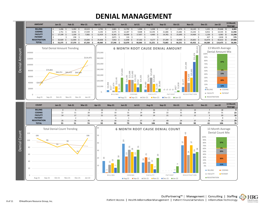# **DENIAL MANAGEMENT**



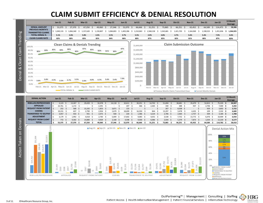# **CLAIM SUBMIT EFFICIENCY & DENIAL RESOLUTION**



**HRG** 

Healthcare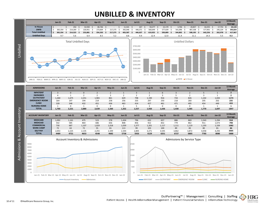# **UNBILLED & INVENTORY**

|                   |                                                                                                        | <b>Jan-21</b>                  | <b>Feb-21</b>                   | <b>Mar-21</b>                                   | Apr-21                          | <b>May-21</b>                                  | <b>Jun-21</b>                   | <b>Jul-21</b>                                  | <b>Aug-21</b>                  | <b>Sep-21</b>                   | Oct-21                          | <b>Nov-21</b>                  | <b>Dec-21</b>                                                                              | <b>Jan-22</b>                  | 13 Month<br>Average            |
|-------------------|--------------------------------------------------------------------------------------------------------|--------------------------------|---------------------------------|-------------------------------------------------|---------------------------------|------------------------------------------------|---------------------------------|------------------------------------------------|--------------------------------|---------------------------------|---------------------------------|--------------------------------|--------------------------------------------------------------------------------------------|--------------------------------|--------------------------------|
|                   | <b>In House</b>                                                                                        | \$                             | $\mathsf{\hat{S}}$<br>254       | 32,930<br>$\ddot{\varsigma}$                    | 80,746<br>$\mathsf{S}$          | \$                                             | 11,541<br>\$                    | $\mathsf{S}$<br>267                            | $\ddot{\varsigma}$<br>59,277   | 22,170<br>$\ddot{\varsigma}$    | 3,706<br>-\$                    | 20,857<br>$\ddot{\mathsf{S}}$  | $64,355$ \$<br>$\mathsf{S}$                                                                | 17,753                         | \$<br>24,143                   |
|                   | <b>DNFB</b><br><b>Total Unbilled</b>                                                                   | 365,354<br>\$<br>365,354<br>\$ | \$<br>214,269<br>\$.<br>214,523 | \$<br>220,951<br>253,881<br>$\ddot{\mathbf{S}}$ | 273,604<br>\$<br>-\$<br>354,350 | $\ddot{\varsigma}$<br>217,275<br>217,275<br>\$ | 392,046<br>-\$<br>403,587<br>\$ | $\ddot{\varsigma}$<br>446,371<br>\$<br>446,637 | \$<br>560,649<br>619,925<br>\$ | 577,639<br>\$<br>599,809<br>-\$ | \$<br>541,096<br>-\$<br>544,802 | 487,338<br>\$<br>508,195<br>\$ | 577,901<br>$\zeta$<br>- \$<br>642,256                                                      | 245,224<br>\$<br>262,978<br>\$ | \$<br>393,824<br>417,967<br>\$ |
|                   | <b>Unbilled Days</b>                                                                                   | 9.7                            | 5.6                             | 6.4                                             | 8.5                             | 5.2                                            | 8.8                             | 9.4                                            | 12.4                           | 12.0                            | 11.4                            | 11.1                           | 14.3                                                                                       | 5.5                            | 9.3                            |
|                   |                                                                                                        |                                | <b>Total Unbilled Days</b>      |                                                 |                                 |                                                |                                 |                                                |                                |                                 |                                 | <b>Unbilled Dollars</b>        |                                                                                            |                                |                                |
| Unbilled          |                                                                                                        |                                |                                 |                                                 |                                 |                                                |                                 | \$700,000                                      |                                |                                 |                                 |                                |                                                                                            |                                |                                |
|                   |                                                                                                        |                                |                                 |                                                 |                                 |                                                |                                 | \$600,000                                      |                                |                                 |                                 |                                |                                                                                            |                                |                                |
|                   |                                                                                                        |                                |                                 |                                                 |                                 |                                                |                                 | \$500,000                                      |                                |                                 |                                 |                                |                                                                                            |                                |                                |
|                   | 9.7                                                                                                    |                                |                                 |                                                 |                                 |                                                |                                 | \$400,000                                      |                                |                                 |                                 |                                |                                                                                            |                                |                                |
|                   |                                                                                                        |                                |                                 |                                                 |                                 |                                                |                                 | \$300,000                                      |                                |                                 |                                 |                                |                                                                                            |                                |                                |
|                   |                                                                                                        |                                |                                 |                                                 |                                 |                                                | 5.5                             | \$200,000                                      |                                |                                 |                                 |                                |                                                                                            |                                |                                |
|                   |                                                                                                        |                                |                                 |                                                 |                                 |                                                |                                 | \$100,000                                      |                                |                                 |                                 |                                |                                                                                            |                                |                                |
|                   |                                                                                                        |                                |                                 |                                                 |                                 |                                                |                                 | $\zeta$ -                                      |                                |                                 |                                 |                                | Jan-21 Feb-21 Mar-21 Apr-21 May-21 Jun-21 Jul-21 Aug-21 Sep-21 Oct-21 Nov-21 Dec-21 Jan-22 |                                |                                |
|                   | JAN-21 FEB-21 MAR-21 APR-21 MAY-21 JUN-21 JUL-21 AUG-21 SEP-21 OCT-21 NOV-21 DEC-21 JAN-22             |                                |                                 |                                                 |                                 |                                                |                                 |                                                |                                |                                 |                                 | DNFB In House                  |                                                                                            |                                |                                |
|                   |                                                                                                        |                                |                                 |                                                 |                                 |                                                |                                 |                                                |                                |                                 |                                 |                                |                                                                                            |                                |                                |
|                   | <b>ADMISSIONS</b>                                                                                      | $Jan-21$                       | <b>Feb-21</b>                   | <b>Mar-21</b>                                   | Apr-21                          | <b>May-21</b>                                  | <b>Jun-21</b>                   | <b>Jul-21</b>                                  | <b>Aug-21</b>                  | <b>Sep-21</b>                   | Oct-21                          | <b>Nov-21</b>                  | <b>Dec-21</b>                                                                              | <b>Jan-22</b>                  | 13 Month                       |
|                   | <b>INPATIENT</b>                                                                                       | $\mathbf{3}$                   | $\mathbf 0$                     | $\mathbf 0$                                     | $\overline{2}$                  | $\overline{2}$                                 | $\mathbf{1}$                    | $\overline{\mathbf{3}}$                        | $\mathbf{1}$                   | 6                               | $\overline{\mathbf{3}}$         | $\overline{2}$                 | 5                                                                                          | $\mathbf{1}$                   | Average<br>$\overline{2}$      |
|                   | <b>SWINGBED</b>                                                                                        | 4                              | $\mathbf{1}$                    | $\overline{2}$                                  | $\overline{2}$                  | $\overline{\mathbf{3}}$                        | $\overline{2}$                  | $\overline{2}$                                 | $\overline{2}$                 | 3                               | 5                               | $\overline{2}$                 | $\overline{3}$                                                                             | $\mathbf 1$                    | $\overline{2}$                 |
|                   | <b>OUTPATIENT</b>                                                                                      | 1,260                          | 1,675                           | 2,251                                           | 1,965                           | 861                                            | 629                             | 798                                            | 1,190                          | 916                             | 733                             | 826                            | 1,102                                                                                      | 1,043                          | 1173                           |
|                   | <b>EMERGENCY ROOM</b><br><b>CLINIC</b>                                                                 | 164<br>328                     | 197<br>348                      | 194<br>432                                      | 219<br>451                      | 258<br>436                                     | 256<br>463                      | 335<br>414                                     | 297<br>427                     | 250<br>461                      | 218<br>471                      | 260<br>495                     | 205<br>454                                                                                 | 202<br>449                     | 235<br>433                     |
|                   | <b>NURSING HOME</b>                                                                                    | 1                              | $\mathbf 0$                     | 1                                               | $\mathbf 0$                     | $\mathbf 0$                                    | 1                               | 5                                              | 3                              | 0                               | $\mathsf 0$                     | $\mathbf 0$                    | 1                                                                                          | $\mathbf{1}$                   | 1                              |
|                   | <b>TOTAL</b>                                                                                           | 1,760                          | 2,221                           | 2,880                                           | 2,639                           | 1,560                                          | 1,352                           | 1,557                                          | 1,920                          | 1,636                           | 1,430                           | 1,585                          | 1,770                                                                                      | 1,697                          | 1847                           |
| Account Inventory | <b>ACCOUNT INVENTORY</b>                                                                               | <b>Jan-21</b>                  | <b>Feb-21</b>                   | <b>Mar-21</b>                                   | Apr-21                          | <b>May-21</b>                                  | <b>Jun-21</b>                   | <b>Jul-21</b>                                  | <b>Aug-21</b>                  | <b>Sep-21</b>                   | Oct-21                          | <b>Nov-21</b>                  | <b>Dec-21</b>                                                                              | <b>Jan-22</b>                  | 13 Month                       |
|                   | <b>MEDICARE</b>                                                                                        | 1,092                          | 1,161                           | 475                                             | 523                             | 578                                            | 1,434                           | 796                                            | 632                            | 657                             | 886                             | 869                            | 1,543                                                                                      | 1,294                          | Average<br>918                 |
|                   | <b>MEDICAID</b>                                                                                        | 542                            | 585                             | 864                                             | 686                             | 656                                            | 808                             | 856                                            | 922                            | 832                             | 779                             | 862                            | 911                                                                                        | 1,073                          | 798                            |
|                   | <b>COMMERCIAL</b>                                                                                      | 730                            | 687                             | 1,107                                           | 1,029                           | 1,018                                          | 1,039                           | 1,377                                          | 1,201                          | 1,117                           | 1,111                           | 1,119                          | 1,193                                                                                      | 1,339                          | 1082                           |
|                   | <b>WORK COMP</b><br><b>SELF PAY</b>                                                                    | 72<br>2,053                    | 63<br>2,225                     | 72<br>2,135                                     | 55<br>2,255                     | 81<br>2,349                                    | 113<br>2,344                    | 99<br>2,805                                    | 103<br>3,271                   | 100<br>3,545                    | 89<br>3,862                     | 83<br>3,872                    | 80<br>4,058                                                                                | 81<br>4,293                    | 84<br>3005                     |
|                   | <b>TOTAL</b>                                                                                           | 4489                           | 4721                            | 4653                                            | 4548                            | 4682                                           | 5738                            | 5933                                           | 6129                           | 6251                            | 6727                            | 6805                           | 7785                                                                                       | 8080                           | 5888                           |
| ಹ                 |                                                                                                        |                                |                                 | Account Inventory & Admissions                  |                                 |                                                |                                 |                                                |                                |                                 |                                 | Admissions by Service Type     |                                                                                            |                                |                                |
| Admissions        | 9000<br>8000                                                                                           |                                |                                 |                                                 |                                 |                                                |                                 | 2500                                           |                                |                                 |                                 |                                |                                                                                            |                                |                                |
|                   | 7000                                                                                                   |                                |                                 |                                                 |                                 |                                                |                                 | 2000                                           |                                |                                 |                                 |                                |                                                                                            |                                |                                |
|                   | 6000                                                                                                   |                                |                                 |                                                 |                                 |                                                |                                 | 1500                                           |                                |                                 |                                 |                                |                                                                                            |                                |                                |
|                   | 5000                                                                                                   |                                |                                 |                                                 |                                 |                                                |                                 |                                                |                                |                                 |                                 |                                |                                                                                            |                                |                                |
|                   | 4000<br>3000                                                                                           |                                |                                 |                                                 |                                 |                                                |                                 | 1000                                           |                                |                                 |                                 |                                |                                                                                            |                                |                                |
|                   | 2000                                                                                                   |                                |                                 |                                                 |                                 |                                                |                                 | 500                                            |                                |                                 |                                 |                                |                                                                                            |                                |                                |
|                   | 1000                                                                                                   |                                |                                 |                                                 |                                 |                                                |                                 |                                                |                                |                                 |                                 |                                |                                                                                            |                                |                                |
|                   | $\Omega$<br>Jan-21 Feb-21 Mar-21 Apr-21 May-21 Jun-21 Jul-21 Aug-21 Sep-21 Oct-21 Nov-21 Dec-21 Jan-22 |                                |                                 |                                                 |                                 |                                                |                                 | $\Omega$                                       |                                |                                 |                                 |                                | Jan-21 Feb-21 Mar-21 Apr-21 May-21 Jun-21 Jul-21 Aug-21 Sep-21 Oct-21 Nov-21 Dec-21 Jan-22 |                                |                                |
|                   |                                                                                                        |                                | -Account Inventory              | $-$ Admissions<br><b>Contract</b>               |                                 |                                                |                                 |                                                | INPATIENT                      |                                 | OUTPATIENT EMERGENCY ROOM       |                                | $-CLINIC$                                                                                  | NURSING HOME                   |                                |

OutPartnering<sup>™</sup> | Management | Consulting | Staffing<br>gement | Patient Financial Services | Information Technology Patient Access | Health Information Management | Patient Financial Services | Information Technology